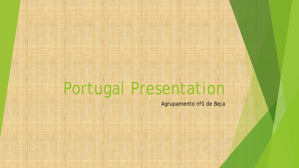## Portugal Presentation

Agrupamento nº1 de Beja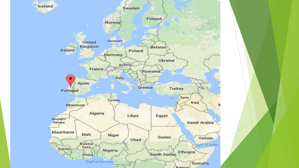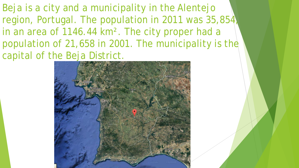Beja is a city and a municipality in the Alentejo region, Portugal. The population in 2011 was 35,854, in an area of 1146.44 km². The city proper had a population of 21,658 in 2001. The municipality is the capital of the Beja District.

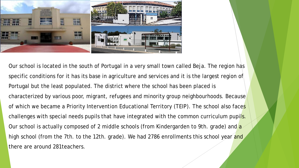

Our school is located in the south of Portugal in a very small town called Beja. The region has specific conditions for it has its base in agriculture and services and it is the largest region of Portugal but the least populated. The district where the school has been placed is characterized by various poor, migrant, refugees and minority group neighbourhoods. Because of which we became a Priority Intervention Educational Territory (TEIP). The school also faces challenges with special needs pupils that have integrated with the common curriculum pupils. Our school is actually composed of 2 middle schools (from Kindergarden to 9th. grade) and a high school (from the 7th. to the 12th. grade). We had 2786 enrollments this school year and there are around 281teachers.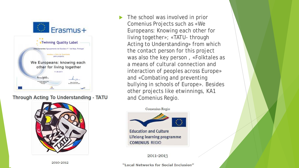

**Through Acting To Understanding - TATU** 



The school was involved in prior Comenius Projects such as «We Europeans: Knowing each other for living together»; «TATU- through Acting to Understanding» from which the contact person for this project was also the key person, «Folktales as a means of cultural connection and interaction of peoples across Europe» and «Combating and preventing bullying in schools of Europe». Besides other projects like etwinnings, KA1 and Comenius Regio.



Lifelong learning programme **COMENIUS REGIO** 

2011-2013

2010-2012

"Local Networks for Social Inclusion"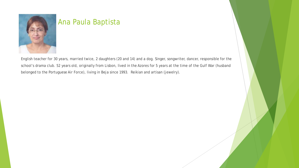

## Ana Paula Baptista

English teacher for 30 years, married twice, 2 daughters (20 and 14) and a dog. Singer, songwriter, dancer, responsible for the school's drama club. 52 years old, originally from Lisbon, lived in the Azores for 5 years at the time of the Gulf War (husband belonged to the Portuguese Air Force), living in Beja since 1993. Reikian and artisan (jewelry).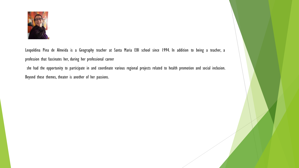

Leopoldina Pina de Almeida is a Geography teacher at Santa Maria EBI school since 1994. In addition to being a teacher, a profession that fascinates her, during her professional career

she had the opportunity to participate in and coordinate various regional projects related to health promotion and social inclusion. Beyond these themes, theater is another of her passions.